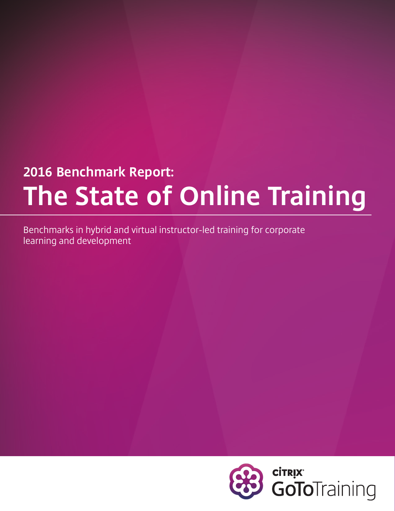# **2016 Benchmark Report: The State of Online Training**

Benchmarks in hybrid and virtual instructor-led training for corporate learning and development

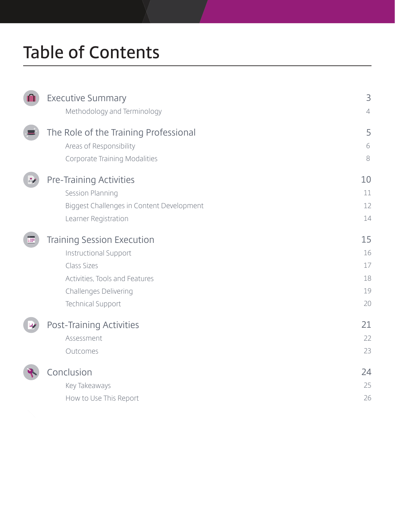## **Table of Contents**

|   | <b>Executive Summary</b>                  | 3          |
|---|-------------------------------------------|------------|
|   | Methodology and Terminology               | $\sqrt{2}$ |
|   | The Role of the Training Professional     | 5          |
|   | Areas of Responsibility                   | 6          |
|   | Corporate Training Modalities             | 8          |
|   | <b>Pre-Training Activities</b>            | 10         |
|   | Session Planning                          | 11         |
|   | Biggest Challenges in Content Development | 12         |
|   | Learner Registration                      | 14         |
| Ë | <b>Training Session Execution</b>         | 15         |
|   | <b>Instructional Support</b>              | 16         |
|   | Class Sizes                               | 17         |
|   | Activities, Tools and Features            | 18         |
|   | Challenges Delivering                     | 19         |
|   | <b>Technical Support</b>                  | 20         |
|   | <b>Post-Training Activities</b>           | 21         |
|   | Assessment                                | 22         |
|   | Outcomes                                  | 23         |
|   | Conclusion                                | 24         |
|   | Key Takeaways                             | 25         |
|   | How to Use This Report                    | 26         |
|   |                                           |            |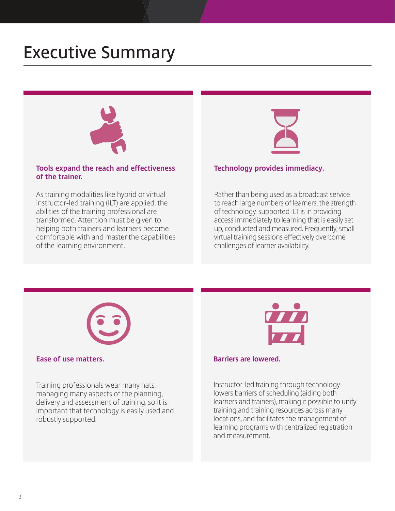### **Executive Summary**



#### **Tools expand the reach and effectiveness of the trainer.**

As training modalities like hybrid or virtual instructor-led training (ILT) are applied, the abilities of the training professional are transformed. Attention must be given to helping both trainers and learners become comfortable with and master the capabilities of the learning environment.



#### **Technology provides immediacy.**

Rather than being used as a broadcast service to reach large numbers of learners, the strength of technology-supported ILT is in providing access immediately to learning that is easily set up, conducted and measured. Frequently, small virtual training sessions effectively overcome challenges of learner availability.



#### **Ease of use matters.**

Training professionals wear many hats, managing many aspects of the planning, delivery and assessment of training, so it is important that technology is easily used and robustly supported.



#### **Barriers are lowered.**

Instructor-led training through technology lowers barriers of scheduling (aiding both learners and trainers), making it possible to unify training and training resources across many locations, and facilitates the management of learning programs with centralized registration and measurement.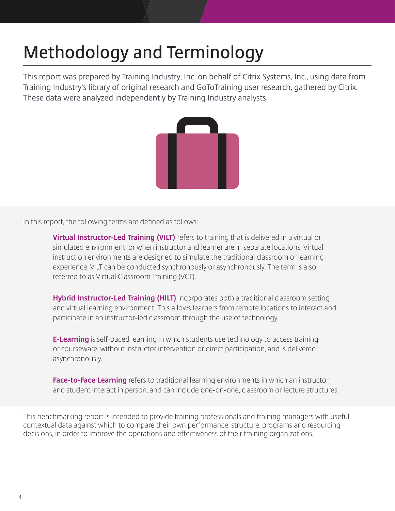## **Methodology and Terminology**

This report was prepared by Training Industry, Inc. on behalf of Citrix Systems, Inc., using data from Training Industry's library of original research and GoToTraining user research, gathered by Citrix. These data were analyzed independently by Training Industry analysts.



In this report, the following terms are defined as follows:

**Virtual Instructor-Led Training (VILT)** refers to training that is delivered in a virtual or simulated environment, or when instructor and learner are in separate locations. Virtual instruction environments are designed to simulate the traditional classroom or learning experience. VILT can be conducted synchronously or asynchronously. The term is also referred to as Virtual Classroom Training (VCT).

**Hybrid Instructor-Led Training (HILT)** incorporates both a traditional classroom setting and virtual learning environment. This allows learners from remote locations to interact and participate in an instructor-led classroom through the use of technology.

**E-Learning** is self-paced learning in which students use technology to access training or courseware, without instructor intervention or direct participation, and is delivered asynchronously.

**Face-to-Face Learning** refers to traditional learning environments in which an instructor and student interact in person, and can include one-on-one, classroom or lecture structures.

This benchmarking report is intended to provide training professionals and training managers with useful contextual data against which to compare their own performance, structure, programs and resourcing decisions, in order to improve the operations and effectiveness of their training organizations.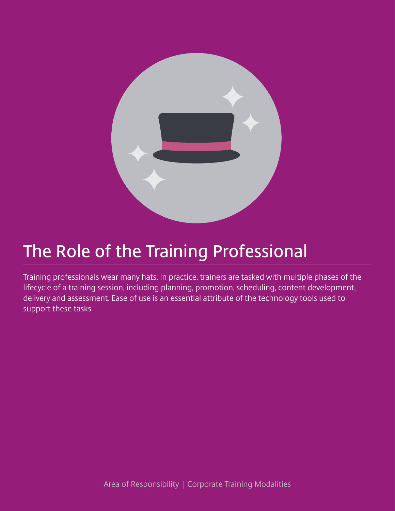

### **The Role of the Training Professional**

Training professionals wear many hats. In practice, trainers are tasked with multiple phases of the lifecycle of a training session, including planning, promotion, scheduling, content development, delivery and assessment. Ease of use is an essential attribute of the technology tools used to support these tasks.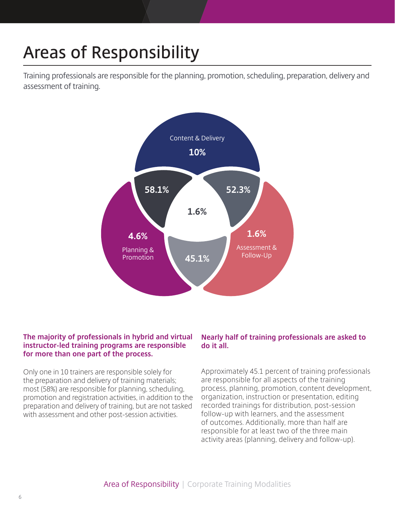## **Areas of Responsibility**

Training professionals are responsible for the planning, promotion, scheduling, preparation, delivery and assessment of training.



#### **The majority of professionals in hybrid and virtual instructor-led training programs are responsible for more than one part of the process.**

Only one in 10 trainers are responsible solely for the preparation and delivery of training materials; most (58%) are responsible for planning, scheduling, promotion and registration activities, in addition to the preparation and delivery of training, but are not tasked with assessment and other post-session activities.

#### **Nearly half of training professionals are asked to do it all.**

Approximately 45.1 percent of training professionals are responsible for all aspects of the training process, planning, promotion, content development, organization, instruction or presentation, editing recorded trainings for distribution, post-session follow-up with learners, and the assessment of outcomes. Additionally, more than half are responsible for at least two of the three main activity areas (planning, delivery and follow-up).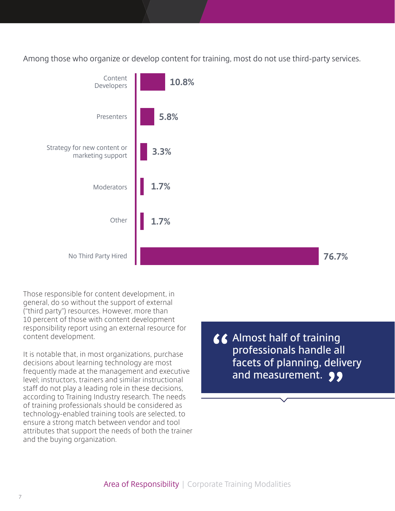Among those who organize or develop content for training, most do not use third-party services.



Those responsible for content development, in general, do so without the support of external ("third party") resources. However, more than 10 percent of those with content development responsibility report using an external resource for content development.

It is notable that, in most organizations, purchase decisions about learning technology are most frequently made at the management and executive level; instructors, trainers and similar instructional staff do not play a leading role in these decisions, according to Training Industry research. The needs of training professionals should be considered as technology-enabled training tools are selected, to ensure a strong match between vendor and tool attributes that support the needs of both the trainer and the buying organization.

**Almost half of training professionals handle all facets of planning, delivery**  and measurement. **99**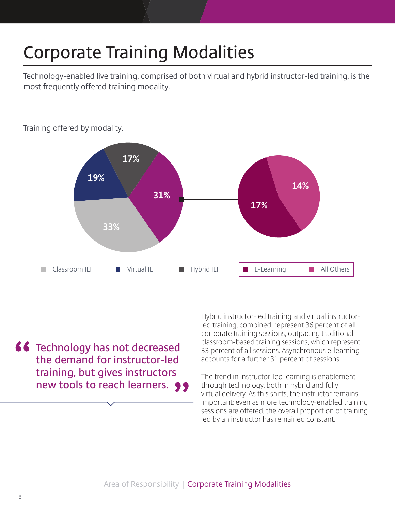## **Corporate Training Modalities**

Technology-enabled live training, comprised of both virtual and hybrid instructor-led training, is the most frequently offered training modality.



Training offered by modality.

**f6** Technology has not decreased **the demand for instructor-led training, but gives instructors new tools to reach learners.** 99 Hybrid instructor-led training and virtual instructorled training, combined, represent 36 percent of all corporate training sessions, outpacing traditional classroom-based training sessions, which represent 33 percent of all sessions. Asynchronous e-learning accounts for a further 31 percent of sessions.

The trend in instructor-led learning is enablement through technology, both in hybrid and fully virtual delivery. As this shifts, the instructor remains important: even as more technology-enabled training sessions are offered, the overall proportion of training led by an instructor has remained constant.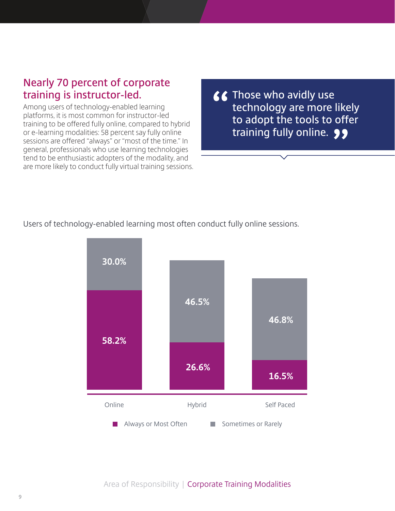### **Nearly 70 percent of corporate training is instructor-led.**

Among users of technology-enabled learning platforms, it is most common for instructor-led training to be offered fully online, compared to hybrid or e-learning modalities: 58 percent say fully online sessions are offered "always" or "most of the time." In general, professionals who use learning technologies tend to be enthusiastic adopters of the modality, and are more likely to conduct fully virtual training sessions. *K* Those who avidly use **technology are more likely to adopt the tools to offer training fully online.**

Users of technology-enabled learning most often conduct fully online sessions.

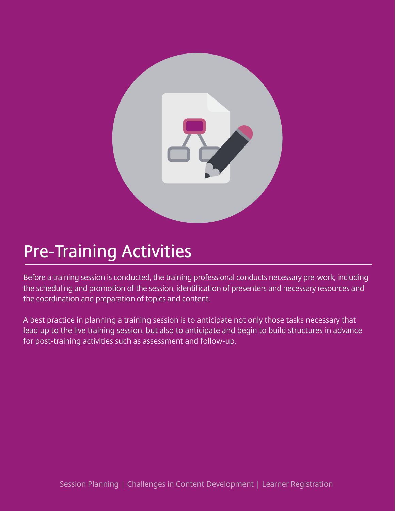

### **Pre-Training Activities**

Before a training session is conducted, the training professional conducts necessary pre-work, including the scheduling and promotion of the session, identification of presenters and necessary resources and the coordination and preparation of topics and content.

A best practice in planning a training session is to anticipate not only those tasks necessary that lead up to the live training session, but also to anticipate and begin to build structures in advance for post-training activities such as assessment and follow-up.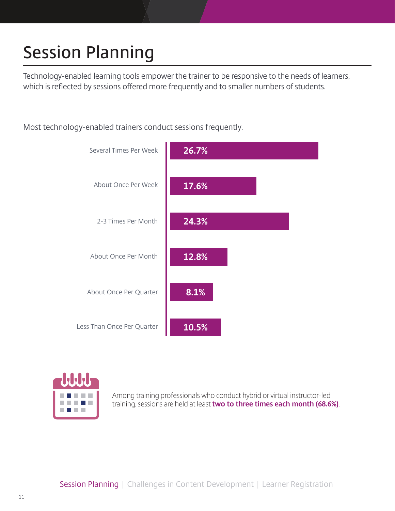# **Session Planning**

Technology-enabled learning tools empower the trainer to be responsive to the needs of learners, which is reflected by sessions offered more frequently and to smaller numbers of students.

Most technology-enabled trainers conduct sessions frequently.





Among training professionals who conduct hybrid or virtual instructor-led training, sessions are held at least **two to three times each month (68.6%)**.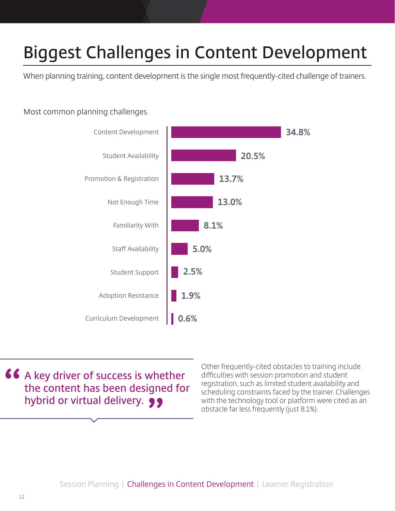## **Biggest Challenges in Content Development**

When planning training, content development is the single most frequently-cited challenge of trainers.

#### Most common planning challenges.



**46 A key driver of success is whether the content has been designed for hybrid or virtual delivery.** 99

Other frequently-cited obstacles to training include difficulties with session promotion and student registration, such as limited student availability and scheduling constraints faced by the trainer. Challenges with the technology tool or platform were cited as an obstacle far less frequently (just 8.1%).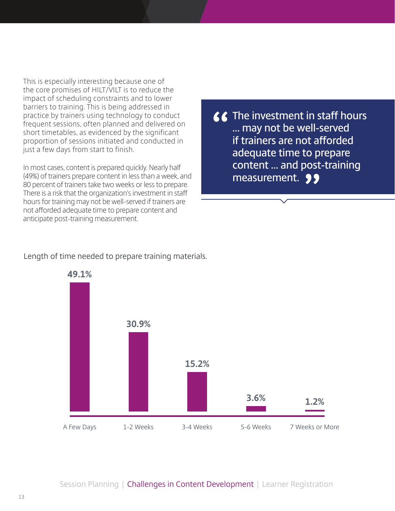This is especially interesting because one of the core promises of HILT/VILT is to reduce the impact of scheduling constraints and to lower barriers to training. This is being addressed in practice by trainers using technology to conduct frequent sessions, often planned and delivered on short timetables, as evidenced by the significant proportion of sessions initiated and conducted in just a few days from start to finish.

In most cases, content is prepared quickly. Nearly half (49%) of trainers prepare content in less than a week, and 80 percent of trainers take two weeks or less to prepare. There is a risk that the organization's investment in staff hours for training may not be well-served if trainers are not afforded adequate time to prepare content and anticipate post-training measurement.

**The investment in staff hours … may not be well-served if trainers are not afforded adequate time to prepare content … and post-training measurement.**

#### Length of time needed to prepare training materials.

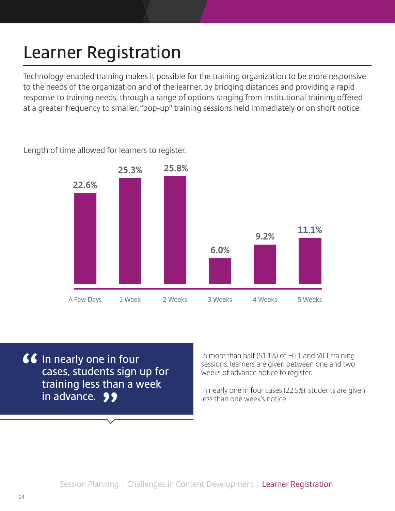## **Learner Registration**

Technology-enabled training makes it possible for the training organization to be more responsive to the needs of the organization and of the learner, by bridging distances and providing a rapid response to training needs, through a range of options ranging from institutional training offered at a greater frequency to smaller, "pop-up" training sessions held immediately or on short notice.

Length of time allowed for learners to register.



*If* In nearly one in four **cases, students sign up for training less than a week in advance.**

In more than half (51.1%) of HILT and VILT training sessions, learners are given between one and two weeks of advance notice to register.

In nearly one in four cases (22.5%), students are given less than one week's notice.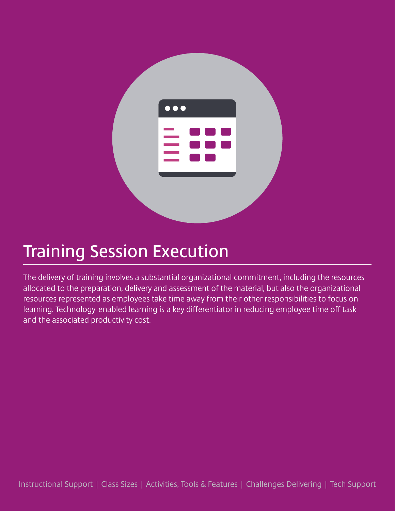

### **Training Session Execution**

The delivery of training involves a substantial organizational commitment, including the resources allocated to the preparation, delivery and assessment of the material, but also the organizational resources represented as employees take time away from their other responsibilities to focus on learning. Technology-enabled learning is a key differentiator in reducing employee time off task and the associated productivity cost.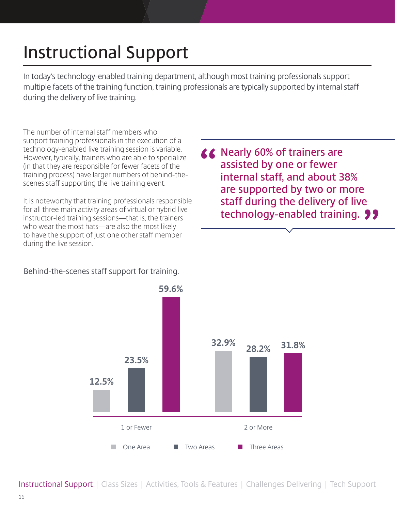## **Instructional Support**

In today's technology-enabled training department, although most training professionals support multiple facets of the training function, training professionals are typically supported by internal staff during the delivery of live training.

The number of internal staff members who support training professionals in the execution of a technology-enabled live training session is variable. However, typically, trainers who are able to specialize (in that they are responsible for fewer facets of the training process) have larger numbers of behind-thescenes staff supporting the live training event.

It is noteworthy that training professionals responsible for all three main activity areas of virtual or hybrid live instructor-led training sessions—that is, the trainers who wear the most hats—are also the most likely to have the support of just one other staff member during the live session.

▲ Nearly 60% of trainers are **assisted by one or fewer internal staff, and about 38% are supported by two or more staff during the delivery of live technology-enabled training.**

#### Behind-the-scenes staff support for training.



Instructional Support | Class Sizes | Activities, Tools & Features | Challenges Delivering | Tech Support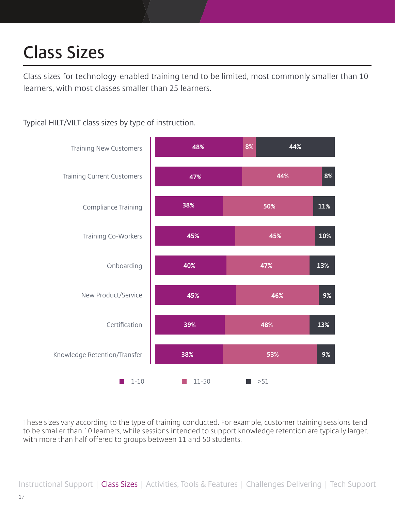## **Class Sizes**

Class sizes for technology-enabled training tend to be limited, most commonly smaller than 10 learners, with most classes smaller than 25 learners.

Typical HILT/VILT class sizes by type of instruction.



These sizes vary according to the type of training conducted. For example, customer training sessions tend to be smaller than 10 learners, while sessions intended to support knowledge retention are typically larger, with more than half offered to groups between 11 and 50 students.

Instructional Support | Class Sizes | Activities, Tools & Features | Challenges Delivering | Tech Support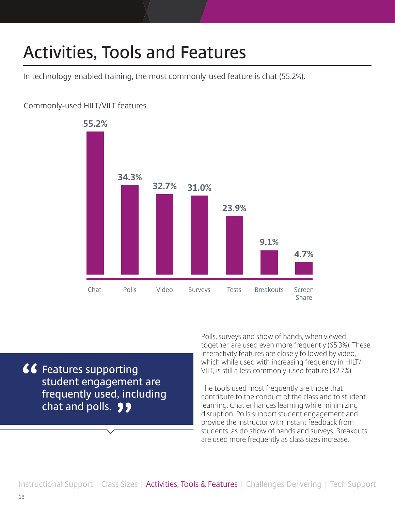## **Activities, Tools and Features**

In technology-enabled training, the most commonly-used feature is chat (55.2%).

#### Commonly-used HILT/VILT features.



**f6** Features supporting **student engagement are frequently used, including**  chat and polls. 99

Polls, surveys and show of hands, when viewed together, are used even more frequently (65.3%). These interactivity features are closely followed by video, which while used with increasing frequency in HILT/ VILT, is still a less commonly-used feature (32.7%).

The tools used most frequently are those that contribute to the conduct of the class and to student learning. Chat enhances learning while minimizing disruption. Polls support student engagement and provide the instructor with instant feedback from students, as do show of hands and surveys. Breakouts are used more frequently as class sizes increase.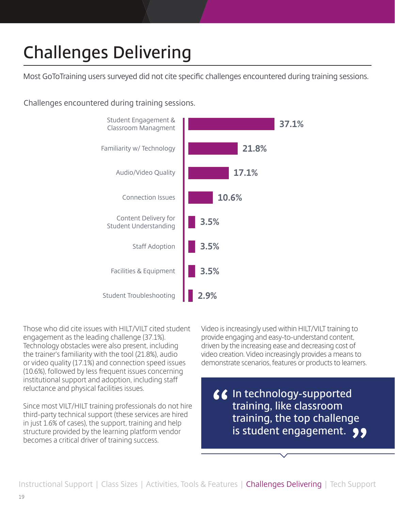## **Challenges Delivering**

Most GoToTraining users surveyed did not cite specific challenges encountered during training sessions.

Challenges encountered during training sessions.



Those who did cite issues with HILT/VILT cited student engagement as the leading challenge (37.1%). Technology obstacles were also present, including the trainer's familiarity with the tool (21.8%), audio or video quality (17.1%) and connection speed issues (10.6%), followed by less frequent issues concerning institutional support and adoption, including staff reluctance and physical facilities issues.

Since most VILT/HILT training professionals do not hire third-party technical support (these services are hired in just 1.6% of cases), the support, training and help structure provided by the learning platform vendor becomes a critical driver of training success.

Video is increasingly used within HILT/VILT training to provide engaging and easy-to-understand content, driven by the increasing ease and decreasing cost of video creation. Video increasingly provides a means to demonstrate scenarios, features or products to learners.

**In technology-supported training, like classroom training, the top challenge is student engagement.**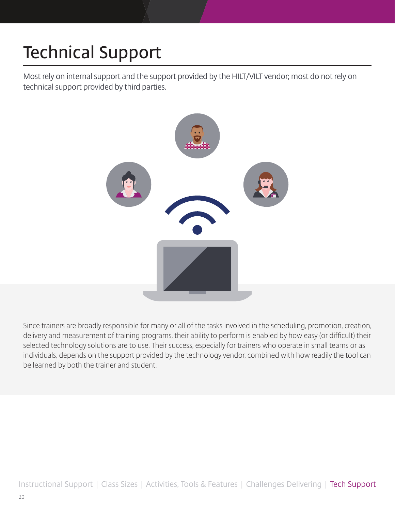# **Technical Support**

Most rely on internal support and the support provided by the HILT/VILT vendor; most do not rely on technical support provided by third parties.



Since trainers are broadly responsible for many or all of the tasks involved in the scheduling, promotion, creation, delivery and measurement of training programs, their ability to perform is enabled by how easy (or difficult) their selected technology solutions are to use. Their success, especially for trainers who operate in small teams or as individuals, depends on the support provided by the technology vendor, combined with how readily the tool can be learned by both the trainer and student.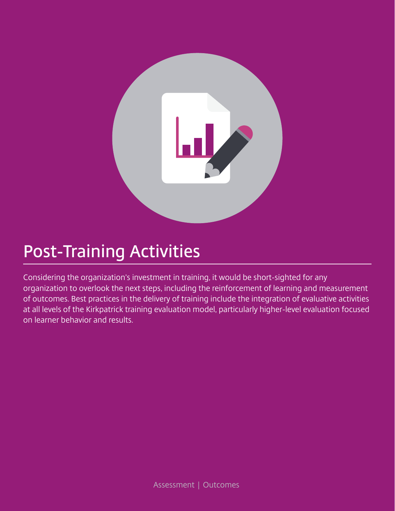

### **Post-Training Activities**

Considering the organization's investment in training, it would be short-sighted for any organization to overlook the next steps, including the reinforcement of learning and measurement of outcomes. Best practices in the delivery of training include the integration of evaluative activities at all levels of the Kirkpatrick training evaluation model, particularly higher-level evaluation focused on learner behavior and results.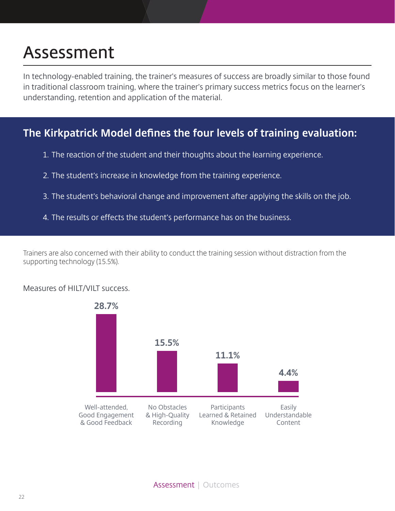### **Assessment**

In technology-enabled training, the trainer's measures of success are broadly similar to those found in traditional classroom training, where the trainer's primary success metrics focus on the learner's understanding, retention and application of the material.

### **The Kirkpatrick Model defines the four levels of training evaluation:**

- 1. The reaction of the student and their thoughts about the learning experience.
- 2. The student's increase in knowledge from the training experience.
- 3. The student's behavioral change and improvement after applying the skills on the job.
- 4. The results or effects the student's performance has on the business.

Trainers are also concerned with their ability to conduct the training session without distraction from the supporting technology (15.5%).

#### Measures of HILT/VILT success.

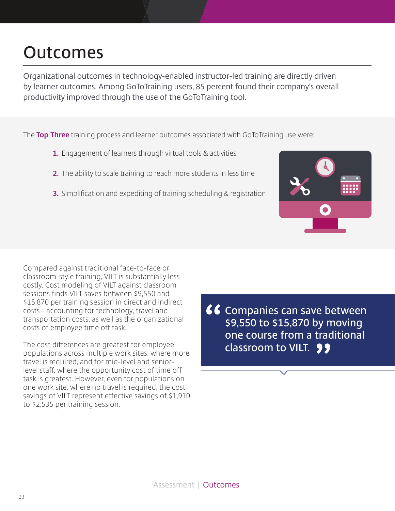### **Outcomes**

Organizational outcomes in technology-enabled instructor-led training are directly driven by learner outcomes. Among GoToTraining users, 85 percent found their company's overall productivity improved through the use of the GoToTraining tool.

The **Top Three** training process and learner outcomes associated with GoToTraining use were:

- **1.** Engagement of learners through virtual tools & activities
- **2.** The ability to scale training to reach more students in less time
- **3.** Simplification and expediting of training scheduling & registration



Compared against traditional face-to-face or classroom-style training, VILT is substantially less costly. Cost modeling of VILT against classroom sessions finds VILT saves between \$9,550 and \$15,870 per training session in direct and indirect costs - accounting for technology, travel and transportation costs, as well as the organizational costs of employee time off task.

The cost differences are greatest for employee populations across multiple work sites, where more travel is required, and for mid-level and seniorlevel staff, where the opportunity cost of time off task is greatest. However, even for populations on one work site, where no travel is required, the cost savings of VILT represent effective savings of \$1,910 to \$2,535 per training session.

**Companies can save between \$9,550 to \$15,870 by moving one course from a traditional classroom to VILT.**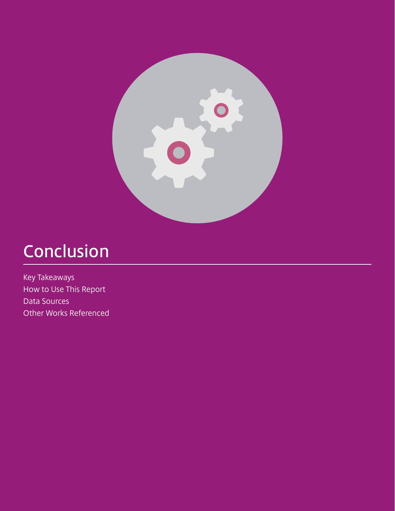

### **Conclusion**

Key Takeaways How to Use This Report Data Sources Other Works Referenced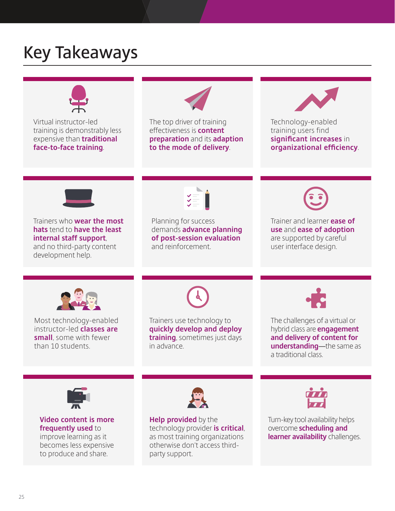### **Key Takeaways**